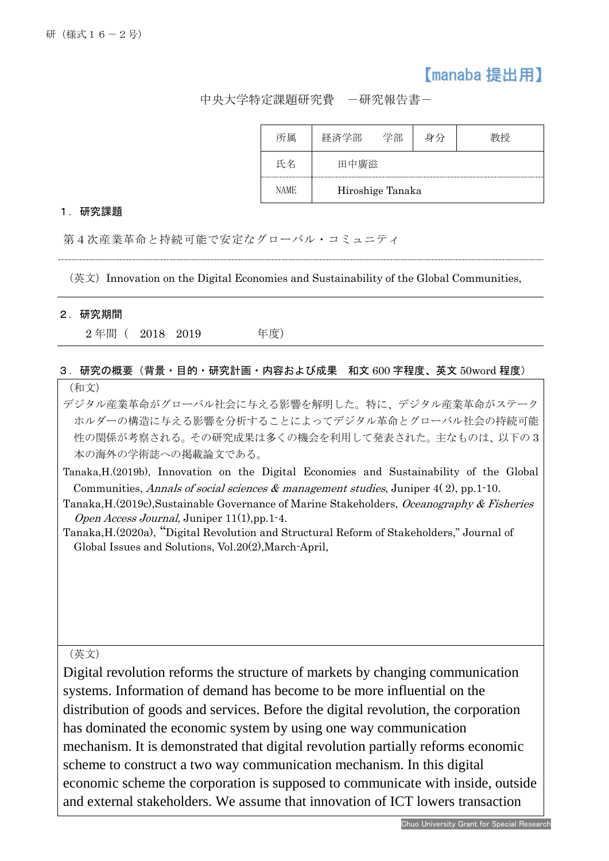## 【manaba 提出用】

中央大学特定課題研究費 -研究報告書-

|      | ヱ苦♪              |  |  |  |
|------|------------------|--|--|--|
|      |                  |  |  |  |
| NAME | Hiroshige Tanaka |  |  |  |

## 1.研究課題

第4次産業革命と持続可能で安定なグローバル・コミュニティ

(英文)Innovation on the Digital Economies and Sustainability of the Global Communities,

## 2.研究期間

İ

2 年間( 2018 2019 年度)

## 3.研究の概要(背景・目的・研究計画・内容および成果 和文 600 字程度、英文 50word 程度) (和文)

デジタル産業革命がグローバル社会に与える影響を解明した。特に、デジタル産業革命がステーク ホルダーの構造に与える影響を分析することによってデジタル革命とグローバル社会の持続可能 性の関係が考察される。その研究成果は多くの機会を利用して発表された。主なものは、以下の 3 本の海外の学術誌への掲載論文である。

Tanaka,H.(2019b), Innovation on the Digital Economies and Sustainability of the Global Communities, Annals of social sciences  $\&$  management studies, Juniper 4(2), pp.1-10.

- Tanaka, H. (2019c), Sustainable Governance of Marine Stakeholders, Oceanography & Fisheries Open Access Journal, Juniper 11(1),pp.1-4.
- Tanaka,H.(2020a), "Digital Revolution and Structural Reform of Stakeholders," Journal of Global Issues and Solutions, Vol.20(2),March-April,

(英文)

Digital revolution reforms the structure of markets by changing communication systems. Information of demand has become to be more influential on the distribution of goods and services. Before the digital revolution, the corporation has dominated the economic system by using one way communication mechanism. It is demonstrated that digital revolution partially reforms economic scheme to construct a two way communication mechanism. In this digital economic scheme the corporation is supposed to communicate with inside, outside and external stakeholders. We assume that innovation of ICT lowers transaction